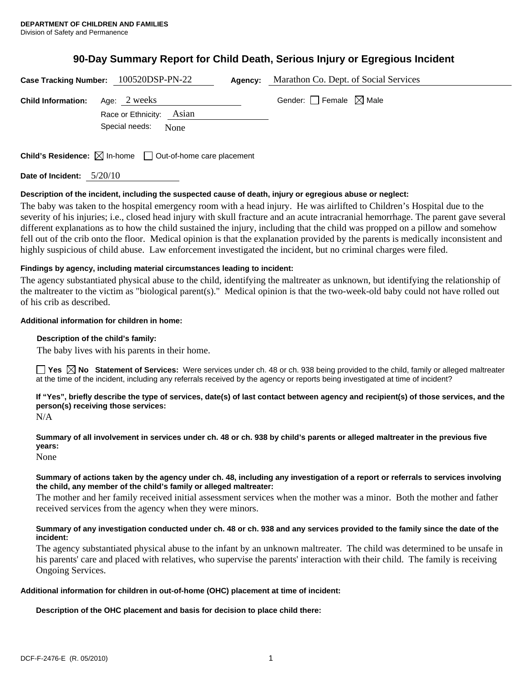# **90-Day Summary Report for Child Death, Serious Injury or Egregious Incident**

|                           | Case Tracking Number: 100520DSP-PN-22                                           | Agency: | Marathon Co. Dept. of Social Services |  |
|---------------------------|---------------------------------------------------------------------------------|---------|---------------------------------------|--|
| <b>Child Information:</b> | Age: 2 weeks                                                                    |         | Gender: $ $ Female $\bowtie$ Male     |  |
|                           | Race or Ethnicity: Asian                                                        |         |                                       |  |
|                           | Special needs:<br>None                                                          |         |                                       |  |
|                           |                                                                                 |         |                                       |  |
|                           | <b>Child's Residence:</b> $\boxtimes$ In-home $\Box$ Out-of-home care placement |         |                                       |  |

**Date of Incident:** 5/20/10

## **Description of the incident, including the suspected cause of death, injury or egregious abuse or neglect:**

The baby was taken to the hospital emergency room with a head injury. He was airlifted to Children's Hospital due to the severity of his injuries; i.e., closed head injury with skull fracture and an acute intracranial hemorrhage. The parent gave several different explanations as to how the child sustained the injury, including that the child was propped on a pillow and somehow fell out of the crib onto the floor. Medical opinion is that the explanation provided by the parents is medically inconsistent and highly suspicious of child abuse. Law enforcement investigated the incident, but no criminal charges were filed.

# **Findings by agency, including material circumstances leading to incident:**

The agency substantiated physical abuse to the child, identifying the maltreater as unknown, but identifying the relationship of the maltreater to the victim as "biological parent(s)." Medical opinion is that the two-week-old baby could not have rolled out of his crib as described.

## **Additional information for children in home:**

## **Description of the child's family:**

The baby lives with his parents in their home.

■ Yes △ No Statement of Services: Were services under ch. 48 or ch. 938 being provided to the child, family or alleged maltreater at the time of the incident, including any referrals received by the agency or reports being investigated at time of incident?

**If "Yes", briefly describe the type of services, date(s) of last contact between agency and recipient(s) of those services, and the person(s) receiving those services:** 

N/A

**Summary of all involvement in services under ch. 48 or ch. 938 by child's parents or alleged maltreater in the previous five years:** 

None

## **Summary of actions taken by the agency under ch. 48, including any investigation of a report or referrals to services involving the child, any member of the child's family or alleged maltreater:**

The mother and her family received initial assessment services when the mother was a minor. Both the mother and father received services from the agency when they were minors.

# **Summary of any investigation conducted under ch. 48 or ch. 938 and any services provided to the family since the date of the incident:**

The agency substantiated physical abuse to the infant by an unknown maltreater. The child was determined to be unsafe in his parents' care and placed with relatives, who supervise the parents' interaction with their child. The family is receiving Ongoing Services.

## **Additional information for children in out-of-home (OHC) placement at time of incident:**

**Description of the OHC placement and basis for decision to place child there:**